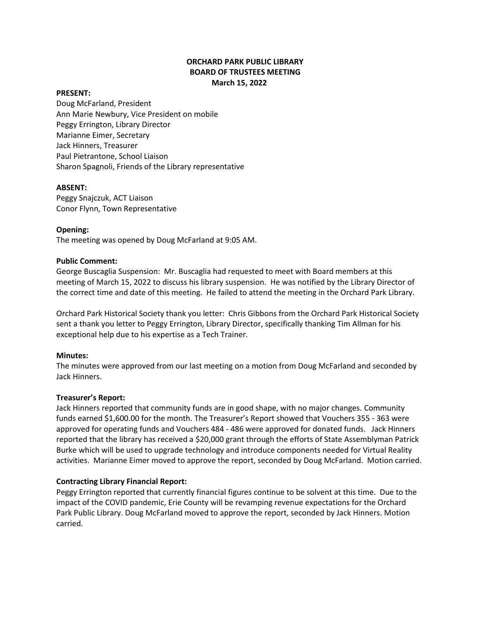# **ORCHARD PARK PUBLIC LIBRARY BOARD OF TRUSTEES MEETING March 15, 2022**

#### **PRESENT:**

Doug McFarland, President Ann Marie Newbury, Vice President on mobile Peggy Errington, Library Director Marianne Eimer, Secretary Jack Hinners, Treasurer Paul Pietrantone, School Liaison Sharon Spagnoli, Friends of the Library representative

#### **ABSENT:**

Peggy Snajczuk, ACT Liaison Conor Flynn, Town Representative

### **Opening:**

The meeting was opened by Doug McFarland at 9:05 AM.

#### **Public Comment:**

George Buscaglia Suspension: Mr. Buscaglia had requested to meet with Board members at this meeting of March 15, 2022 to discuss his library suspension. He was notified by the Library Director of the correct time and date of this meeting. He failed to attend the meeting in the Orchard Park Library.

Orchard Park Historical Society thank you letter: Chris Gibbons from the Orchard Park Historical Society sent a thank you letter to Peggy Errington, Library Director, specifically thanking Tim Allman for his exceptional help due to his expertise as a Tech Trainer.

#### **Minutes:**

The minutes were approved from our last meeting on a motion from Doug McFarland and seconded by Jack Hinners.

#### **Treasurer's Report:**

Jack Hinners reported that community funds are in good shape, with no major changes. Community funds earned \$1,600.00 for the month. The Treasurer's Report showed that Vouchers 355 - 363 were approved for operating funds and Vouchers 484 - 486 were approved for donated funds. Jack Hinners reported that the library has received a \$20,000 grant through the efforts of State Assemblyman Patrick Burke which will be used to upgrade technology and introduce components needed for Virtual Reality activities. Marianne Eimer moved to approve the report, seconded by Doug McFarland. Motion carried.

## **Contracting Library Financial Report:**

Peggy Errington reported that currently financial figures continue to be solvent at this time. Due to the impact of the COVID pandemic, Erie County will be revamping revenue expectations for the Orchard Park Public Library. Doug McFarland moved to approve the report, seconded by Jack Hinners. Motion carried.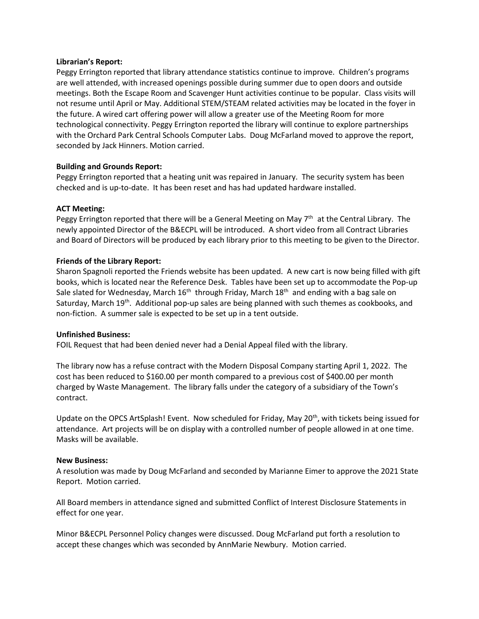#### **Librarian's Report:**

Peggy Errington reported that library attendance statistics continue to improve. Children's programs are well attended, with increased openings possible during summer due to open doors and outside meetings. Both the Escape Room and Scavenger Hunt activities continue to be popular. Class visits will not resume until April or May. Additional STEM/STEAM related activities may be located in the foyer in the future. A wired cart offering power will allow a greater use of the Meeting Room for more technological connectivity. Peggy Errington reported the library will continue to explore partnerships with the Orchard Park Central Schools Computer Labs. Doug McFarland moved to approve the report, seconded by Jack Hinners. Motion carried.

## **Building and Grounds Report:**

Peggy Errington reported that a heating unit was repaired in January. The security system has been checked and is up-to-date. It has been reset and has had updated hardware installed.

### **ACT Meeting:**

Peggy Errington reported that there will be a General Meeting on May  $7<sup>th</sup>$  at the Central Library. The newly appointed Director of the B&ECPL will be introduced. A short video from all Contract Libraries and Board of Directors will be produced by each library prior to this meeting to be given to the Director.

### **Friends of the Library Report:**

Sharon Spagnoli reported the Friends website has been updated. A new cart is now being filled with gift books, which is located near the Reference Desk. Tables have been set up to accommodate the Pop-up Sale slated for Wednesday, March 16<sup>th</sup> through Friday, March 18<sup>th</sup> and ending with a bag sale on Saturday, March  $19^{th}$ . Additional pop-up sales are being planned with such themes as cookbooks, and non-fiction. A summer sale is expected to be set up in a tent outside.

#### **Unfinished Business:**

FOIL Request that had been denied never had a Denial Appeal filed with the library.

The library now has a refuse contract with the Modern Disposal Company starting April 1, 2022. The cost has been reduced to \$160.00 per month compared to a previous cost of \$400.00 per month charged by Waste Management. The library falls under the category of a subsidiary of the Town's contract.

Update on the OPCS ArtSplash! Event. Now scheduled for Friday, May 20<sup>th</sup>, with tickets being issued for attendance. Art projects will be on display with a controlled number of people allowed in at one time. Masks will be available.

#### **New Business:**

A resolution was made by Doug McFarland and seconded by Marianne Eimer to approve the 2021 State Report. Motion carried.

All Board members in attendance signed and submitted Conflict of Interest Disclosure Statements in effect for one year.

Minor B&ECPL Personnel Policy changes were discussed. Doug McFarland put forth a resolution to accept these changes which was seconded by AnnMarie Newbury. Motion carried.